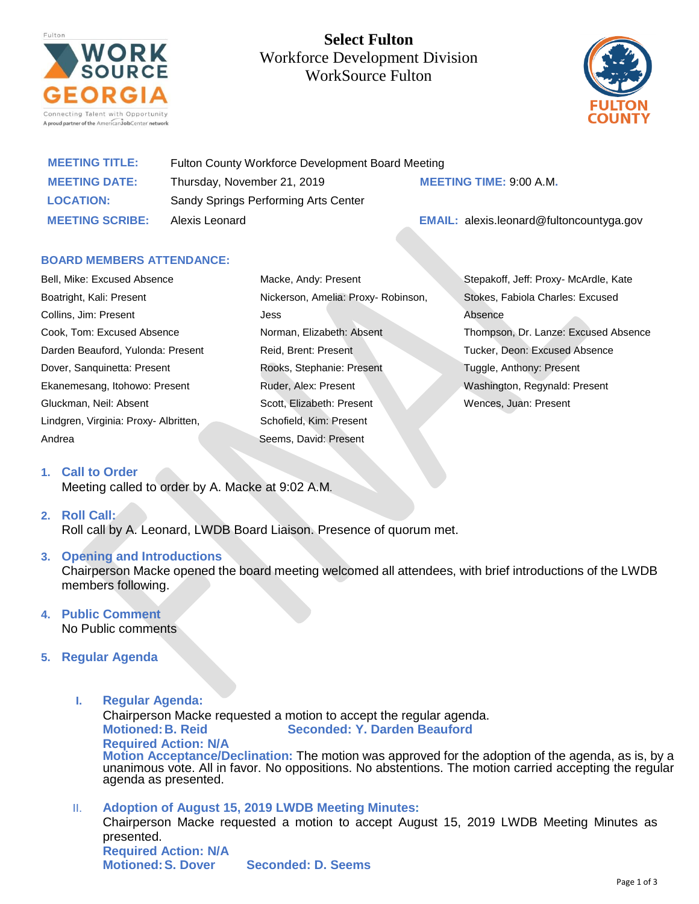

**Select Fulton**  Workforce Development Division WorkSource Fulton



| <b>MEETING TITLE:</b>  | Fulton County Workforce Development Board Meeting |                                                 |
|------------------------|---------------------------------------------------|-------------------------------------------------|
| <b>MEETING DATE:</b>   | Thursday, November 21, 2019                       | <b>MEETING TIME: 9:00 A.M.</b>                  |
| <b>LOCATION:</b>       | Sandy Springs Performing Arts Center              |                                                 |
| <b>MEETING SCRIBE:</b> | Alexis Leonard                                    | <b>EMAIL:</b> alexis.leonard@fultoncountyga.gov |

# **BOARD MEMBERS ATTENDANCE:**

| Bell, Mike: Excused Absence           | Macke, Andy: Present                |
|---------------------------------------|-------------------------------------|
| Boatright, Kali: Present              | Nickerson, Amelia: Proxy- Robinson, |
| Collins, Jim: Present                 | Jess                                |
| Cook, Tom: Excused Absence            | Norman, Elizabeth: Absent           |
| Darden Beauford, Yulonda: Present     | Reid, Brent: Present                |
| Dover, Sanguinetta: Present           | Rooks, Stephanie: Present           |
| Ekanemesang, Itohowo: Present         | Ruder, Alex: Present                |
| Gluckman, Neil: Absent                | Scott, Elizabeth: Present           |
| Lindgren, Virginia: Proxy- Albritten, | Schofield, Kim: Present             |
| Andrea                                | Seems, David: Present               |

Stepakoff, Jeff: Proxy- McArdle, Kate Stokes, Fabiola Charles: Excused Absence Thompson, Dr. Lanze: Excused Absence Tucker, Deon: Excused Absence Tuggle, Anthony: Present Washington, Regynald: Present Wences, Juan: Present

# **1. Call to Order**

Meeting called to order by A. Macke at 9:02 A.M.

### **2. Roll Call:**

Roll call by A. Leonard, LWDB Board Liaison. Presence of quorum met.

### **3. Opening and Introductions**

Chairperson Macke opened the board meeting welcomed all attendees, with brief introductions of the LWDB members following.

# **4. Public Comment**

No Public comments

# **5. Regular Agenda**

- **I. Regular Agenda:** Chairperson Macke requested a motion to accept the regular agenda. **Motioned:B. Reid Seconded: Y. Darden Beauford Required Action: N/A Motion Acceptance/Declination:** The motion was approved for the adoption of the agenda, as is, by a unanimous vote. All in favor. No oppositions. No abstentions. The motion carried accepting the regular agenda as presented.
- II. **Adoption of August 15, 2019 LWDB Meeting Minutes:** Chairperson Macke requested a motion to accept August 15, 2019 LWDB Meeting Minutes as presented. **Required Action: N/A Motioned:S. Dover Seconded: D. Seems**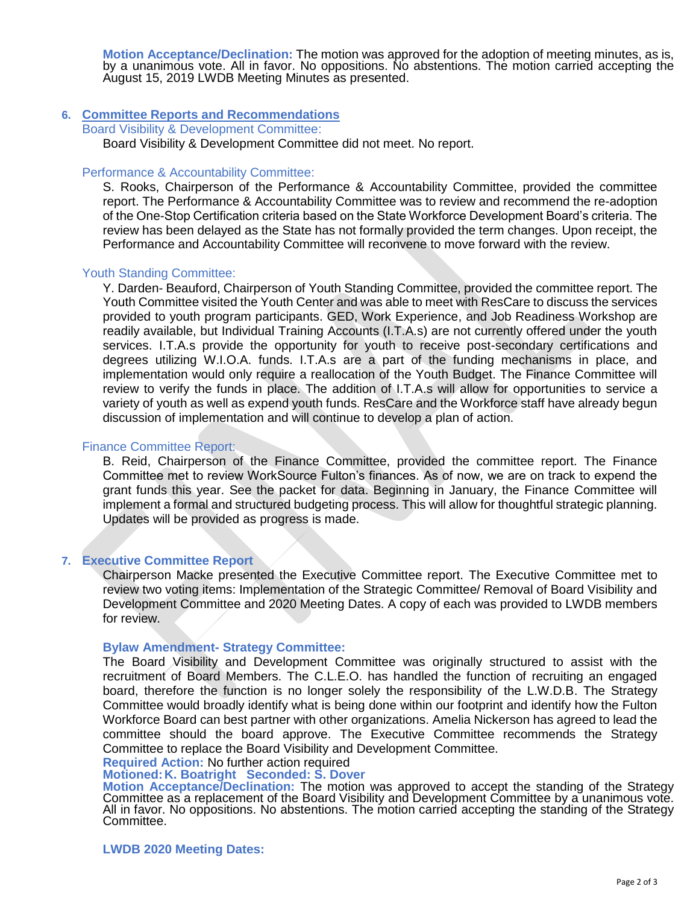**Motion Acceptance/Declination:** The motion was approved for the adoption of meeting minutes, as is, by a unanimous vote. All in favor. No oppositions. No abstentions. The motion carried accepting the August 15, 2019 LWDB Meeting Minutes as presented.

# **6. Committee Reports and Recommendations**

#### Board Visibility & Development Committee:

Board Visibility & Development Committee did not meet. No report.

### Performance & Accountability Committee:

S. Rooks, Chairperson of the Performance & Accountability Committee, provided the committee report. The Performance & Accountability Committee was to review and recommend the re-adoption of the One-Stop Certification criteria based on the State Workforce Development Board's criteria. The review has been delayed as the State has not formally provided the term changes. Upon receipt, the Performance and Accountability Committee will reconvene to move forward with the review.

### Youth Standing Committee:

Y. Darden- Beauford, Chairperson of Youth Standing Committee, provided the committee report. The Youth Committee visited the Youth Center and was able to meet with ResCare to discuss the services provided to youth program participants. GED, Work Experience, and Job Readiness Workshop are readily available, but Individual Training Accounts (I.T.A.s) are not currently offered under the youth services. I.T.A.s provide the opportunity for youth to receive post-secondary certifications and degrees utilizing W.I.O.A. funds. I.T.A.s are a part of the funding mechanisms in place, and implementation would only require a reallocation of the Youth Budget. The Finance Committee will review to verify the funds in place. The addition of I.T.A.s will allow for opportunities to service a variety of youth as well as expend youth funds. ResCare and the Workforce staff have already begun discussion of implementation and will continue to develop a plan of action.

# Finance Committee Report:

B. Reid, Chairperson of the Finance Committee, provided the committee report. The Finance Committee met to review WorkSource Fulton's finances. As of now, we are on track to expend the grant funds this year. See the packet for data. Beginning in January, the Finance Committee will implement a formal and structured budgeting process. This will allow for thoughtful strategic planning. Updates will be provided as progress is made.

### **7. Executive Committee Report**

Chairperson Macke presented the Executive Committee report. The Executive Committee met to review two voting items: Implementation of the Strategic Committee/ Removal of Board Visibility and Development Committee and 2020 Meeting Dates. A copy of each was provided to LWDB members for review.

### **Bylaw Amendment- Strategy Committee:**

The Board Visibility and Development Committee was originally structured to assist with the recruitment of Board Members. The C.L.E.O. has handled the function of recruiting an engaged board, therefore the function is no longer solely the responsibility of the L.W.D.B. The Strategy Committee would broadly identify what is being done within our footprint and identify how the Fulton Workforce Board can best partner with other organizations. Amelia Nickerson has agreed to lead the committee should the board approve. The Executive Committee recommends the Strategy Committee to replace the Board Visibility and Development Committee.

# **Required Action:** No further action required

#### **Motioned:K. Boatright Seconded: S. Dover**

**Motion Acceptance/Declination:** The motion was approved to accept the standing of the Strategy Committee as a replacement of the Board Visibility and Development Committee by a unanimous vote. All in favor. No oppositions. No abstentions. The motion carried accepting the standing of the Strategy Committee.